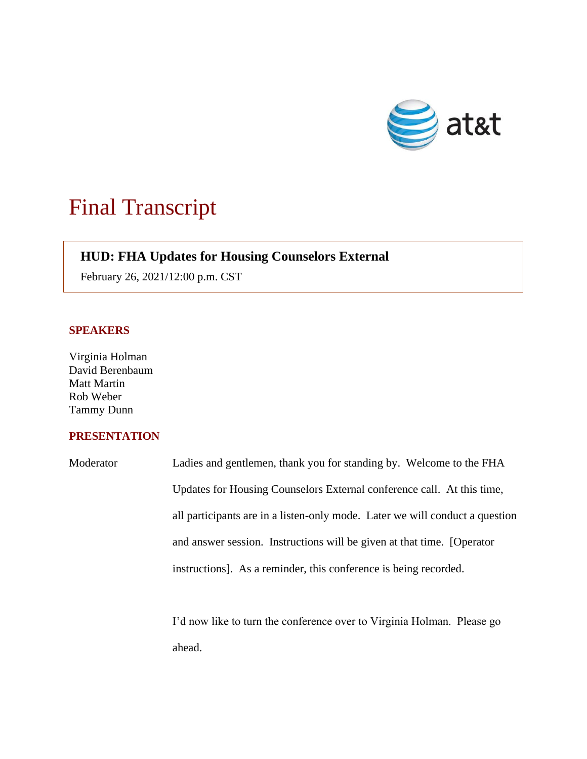

## Final Transcript

## **HUD: FHA Updates for Housing Counselors External**

February 26, 2021/12:00 p.m. CST

## **SPEAKERS**

Virginia Holman David Berenbaum Matt Martin Rob Weber Tammy Dunn

## **PRESENTATION**

Moderator Ladies and gentlemen, thank you for standing by. Welcome to the FHA Updates for Housing Counselors External conference call. At this time, all participants are in a listen-only mode. Later we will conduct a question and answer session. Instructions will be given at that time. [Operator instructions]. As a reminder, this conference is being recorded.

> I'd now like to turn the conference over to Virginia Holman. Please go ahead.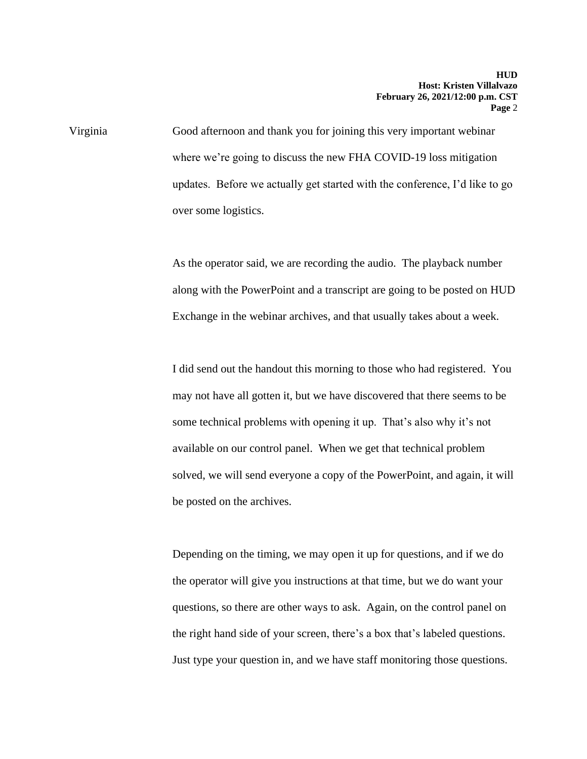Virginia Good afternoon and thank you for joining this very important webinar where we're going to discuss the new FHA COVID-19 loss mitigation updates. Before we actually get started with the conference, I'd like to go over some logistics.

> As the operator said, we are recording the audio. The playback number along with the PowerPoint and a transcript are going to be posted on HUD Exchange in the webinar archives, and that usually takes about a week.

> I did send out the handout this morning to those who had registered. You may not have all gotten it, but we have discovered that there seems to be some technical problems with opening it up. That's also why it's not available on our control panel. When we get that technical problem solved, we will send everyone a copy of the PowerPoint, and again, it will be posted on the archives.

 the right hand side of your screen, there's a box that's labeled questions. Depending on the timing, we may open it up for questions, and if we do the operator will give you instructions at that time, but we do want your questions, so there are other ways to ask. Again, on the control panel on Just type your question in, and we have staff monitoring those questions.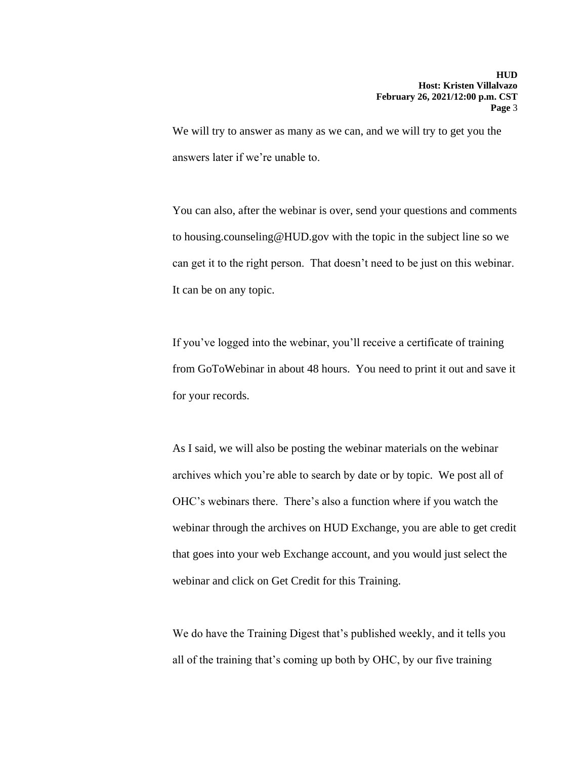We will try to answer as many as we can, and we will try to get you the answers later if we're unable to.

You can also, after the webinar is over, send your questions and comments to housing.counseling@HUD.gov with the topic in the subject line so we can get it to the right person. That doesn't need to be just on this webinar. It can be on any topic.

If you've logged into the webinar, you'll receive a certificate of training from GoToWebinar in about 48 hours. You need to print it out and save it for your records.

As I said, we will also be posting the webinar materials on the webinar archives which you're able to search by date or by topic. We post all of OHC's webinars there. There's also a function where if you watch the webinar through the archives on HUD Exchange, you are able to get credit that goes into your web Exchange account, and you would just select the webinar and click on Get Credit for this Training.

We do have the Training Digest that's published weekly, and it tells you all of the training that's coming up both by OHC, by our five training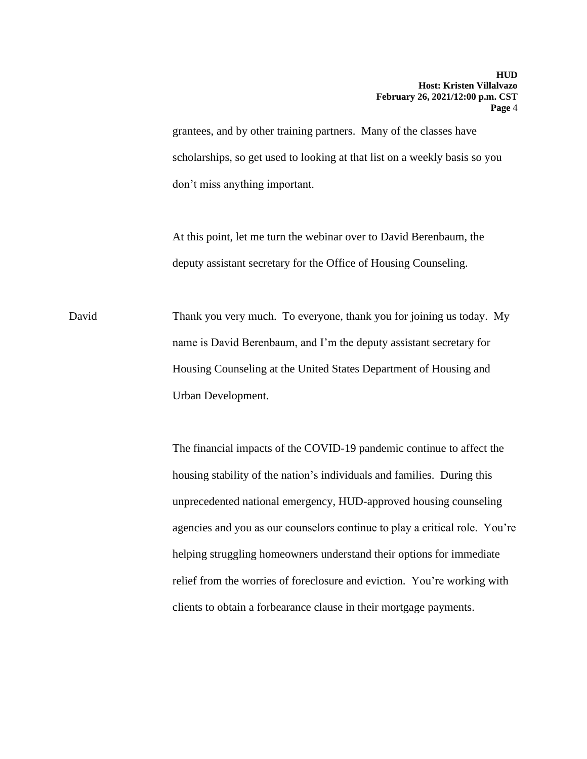grantees, and by other training partners. Many of the classes have scholarships, so get used to looking at that list on a weekly basis so you don't miss anything important.

At this point, let me turn the webinar over to David Berenbaum, the deputy assistant secretary for the Office of Housing Counseling.

David Thank you very much. To everyone, thank you for joining us today. My name is David Berenbaum, and I'm the deputy assistant secretary for Housing Counseling at the United States Department of Housing and Urban Development.

> The financial impacts of the COVID-19 pandemic continue to affect the housing stability of the nation's individuals and families. During this unprecedented national emergency, HUD-approved housing counseling agencies and you as our counselors continue to play a critical role. You're helping struggling homeowners understand their options for immediate relief from the worries of foreclosure and eviction. You're working with clients to obtain a forbearance clause in their mortgage payments.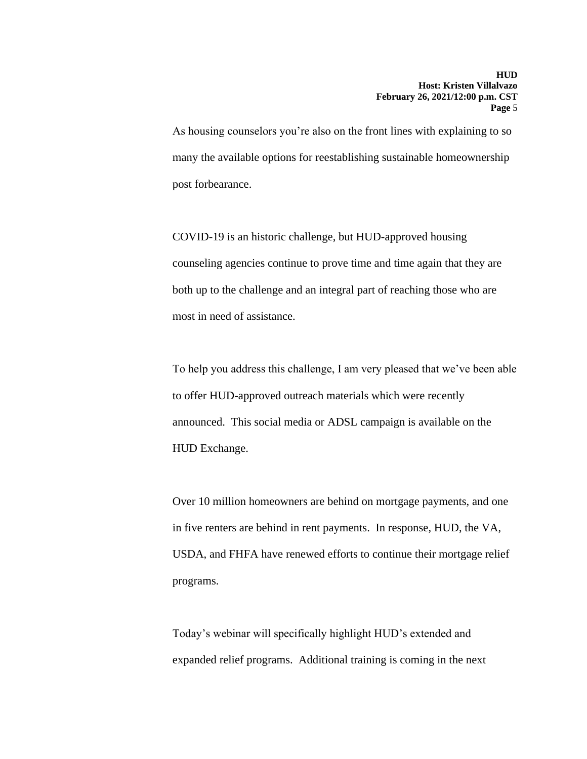As housing counselors you're also on the front lines with explaining to so many the available options for reestablishing sustainable homeownership post forbearance.

COVID-19 is an historic challenge, but HUD-approved housing counseling agencies continue to prove time and time again that they are both up to the challenge and an integral part of reaching those who are most in need of assistance.

To help you address this challenge, I am very pleased that we've been able to offer HUD-approved outreach materials which were recently announced. This social media or ADSL campaign is available on the HUD Exchange.

Over 10 million homeowners are behind on mortgage payments, and one in five renters are behind in rent payments. In response, HUD, the VA, USDA, and FHFA have renewed efforts to continue their mortgage relief programs.

Today's webinar will specifically highlight HUD's extended and expanded relief programs. Additional training is coming in the next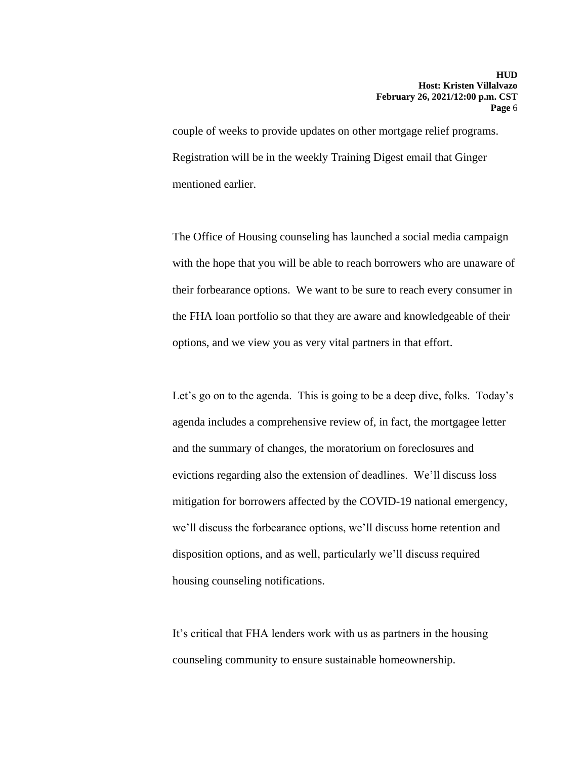couple of weeks to provide updates on other mortgage relief programs. Registration will be in the weekly Training Digest email that Ginger mentioned earlier.

The Office of Housing counseling has launched a social media campaign with the hope that you will be able to reach borrowers who are unaware of their forbearance options. We want to be sure to reach every consumer in the FHA loan portfolio so that they are aware and knowledgeable of their options, and we view you as very vital partners in that effort.

Let's go on to the agenda. This is going to be a deep dive, folks. Today's agenda includes a comprehensive review of, in fact, the mortgagee letter and the summary of changes, the moratorium on foreclosures and evictions regarding also the extension of deadlines. We'll discuss loss mitigation for borrowers affected by the COVID-19 national emergency, we'll discuss the forbearance options, we'll discuss home retention and disposition options, and as well, particularly we'll discuss required housing counseling notifications.

It's critical that FHA lenders work with us as partners in the housing counseling community to ensure sustainable homeownership.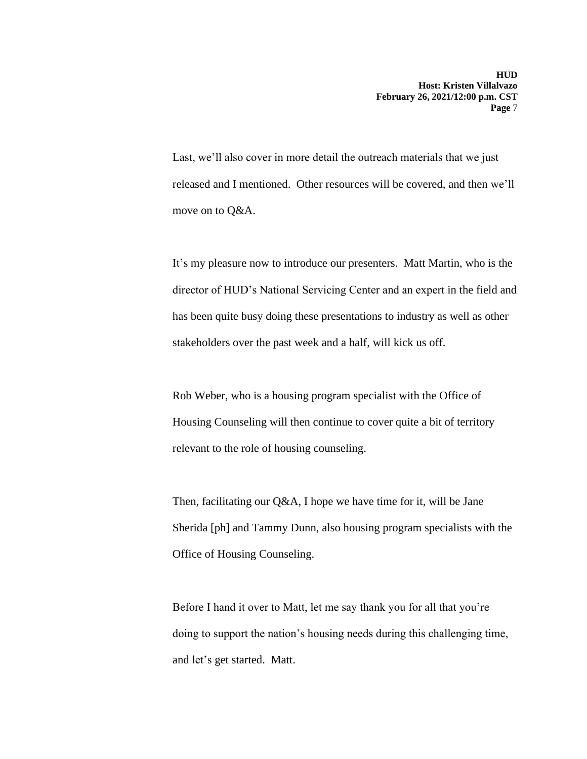Last, we'll also cover in more detail the outreach materials that we just released and I mentioned. Other resources will be covered, and then we'll move on to Q&A.

It's my pleasure now to introduce our presenters. Matt Martin, who is the director of HUD's National Servicing Center and an expert in the field and has been quite busy doing these presentations to industry as well as other stakeholders over the past week and a half, will kick us off.

Rob Weber, who is a housing program specialist with the Office of Housing Counseling will then continue to cover quite a bit of territory relevant to the role of housing counseling.

Then, facilitating our Q&A, I hope we have time for it, will be Jane Sherida [ph] and Tammy Dunn, also housing program specialists with the Office of Housing Counseling.

Before I hand it over to Matt, let me say thank you for all that you're doing to support the nation's housing needs during this challenging time, and let's get started. Matt.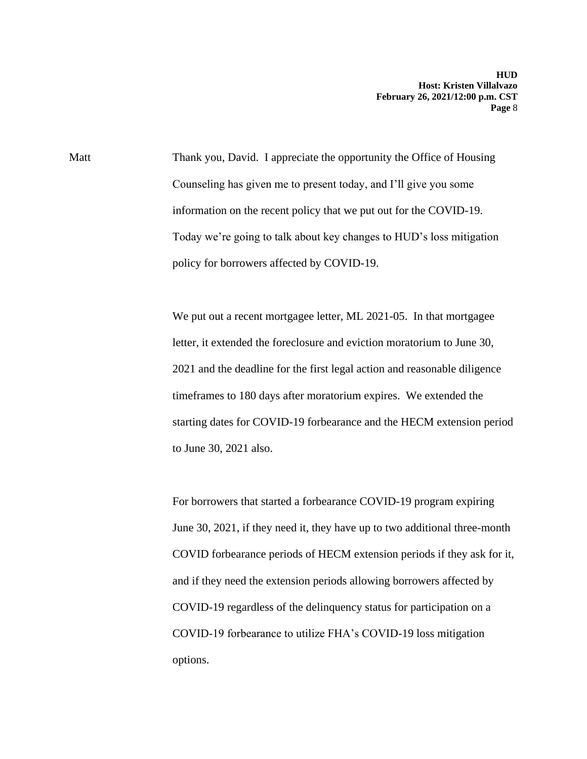Matt Thank you, David. I appreciate the opportunity the Office of Housing Counseling has given me to present today, and I'll give you some information on the recent policy that we put out for the COVID-19. Today we're going to talk about key changes to HUD's loss mitigation policy for borrowers affected by COVID-19.

> We put out a recent mortgagee letter, ML 2021-05. In that mortgagee letter, it extended the foreclosure and eviction moratorium to June 30, 2021 and the deadline for the first legal action and reasonable diligence timeframes to 180 days after moratorium expires. We extended the starting dates for COVID-19 forbearance and the HECM extension period to June 30, 2021 also.

> For borrowers that started a forbearance COVID-19 program expiring June 30, 2021, if they need it, they have up to two additional three-month COVID forbearance periods of HECM extension periods if they ask for it, and if they need the extension periods allowing borrowers affected by COVID-19 regardless of the delinquency status for participation on a COVID-19 forbearance to utilize FHA's COVID-19 loss mitigation options.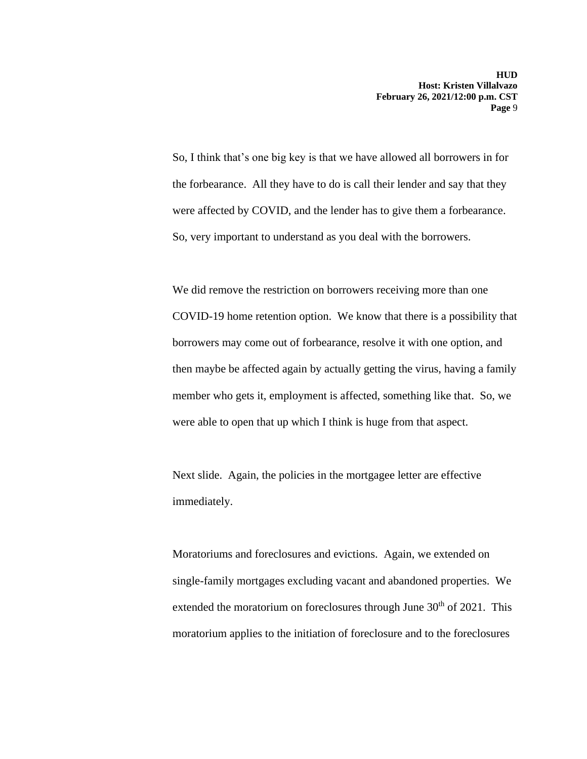were affected by COVID, and the lender has to give them a forbearance. So, very important to understand as you deal with the borrowers. So, I think that's one big key is that we have allowed all borrowers in for the forbearance. All they have to do is call their lender and say that they

 member who gets it, employment is affected, something like that. So, we We did remove the restriction on borrowers receiving more than one COVID-19 home retention option. We know that there is a possibility that borrowers may come out of forbearance, resolve it with one option, and then maybe be affected again by actually getting the virus, having a family were able to open that up which I think is huge from that aspect.

Next slide. Again, the policies in the mortgagee letter are effective immediately.

 moratorium applies to the initiation of foreclosure and to the foreclosures Moratoriums and foreclosures and evictions. Again, we extended on single-family mortgages excluding vacant and abandoned properties. We extended the moratorium on foreclosures through June  $30<sup>th</sup>$  of 2021. This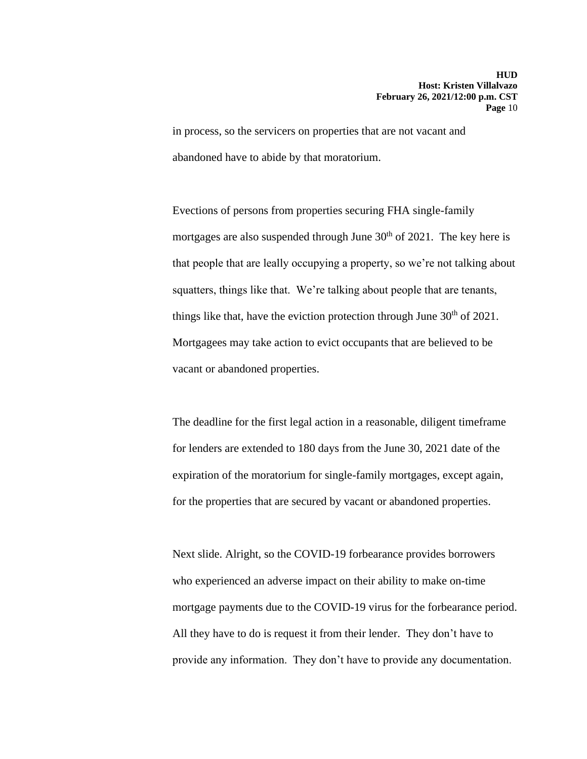in process, so the servicers on properties that are not vacant and abandoned have to abide by that moratorium.

Evections of persons from properties securing FHA single-family mortgages are also suspended through June  $30<sup>th</sup>$  of 2021. The key here is that people that are leally occupying a property, so we're not talking about squatters, things like that. We're talking about people that are tenants, things like that, have the eviction protection through June  $30<sup>th</sup>$  of 2021. Mortgagees may take action to evict occupants that are believed to be vacant or abandoned properties.

The deadline for the first legal action in a reasonable, diligent timeframe for lenders are extended to 180 days from the June 30, 2021 date of the expiration of the moratorium for single-family mortgages, except again, for the properties that are secured by vacant or abandoned properties.

 mortgage payments due to the COVID-19 virus for the forbearance period. All they have to do is request it from their lender. They don't have to Next slide. Alright, so the COVID-19 forbearance provides borrowers who experienced an adverse impact on their ability to make on-time provide any information. They don't have to provide any documentation.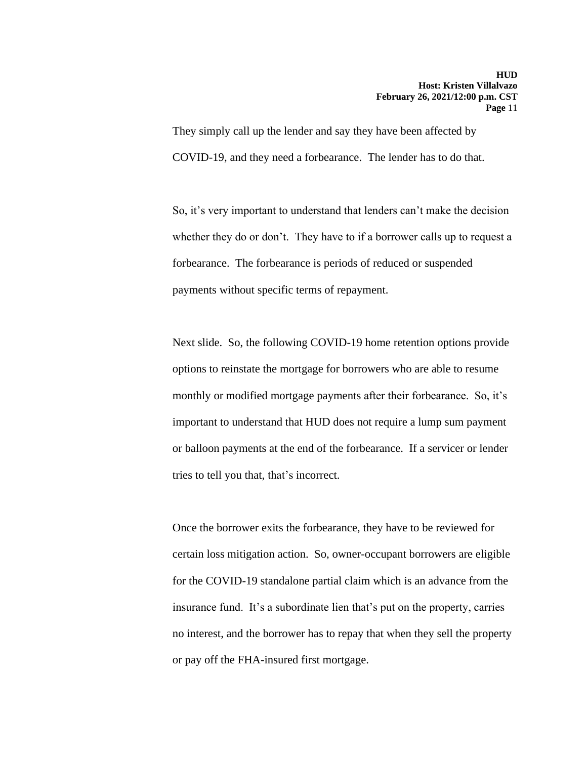They simply call up the lender and say they have been affected by COVID-19, and they need a forbearance. The lender has to do that.

So, it's very important to understand that lenders can't make the decision whether they do or don't. They have to if a borrower calls up to request a forbearance. The forbearance is periods of reduced or suspended payments without specific terms of repayment.

Next slide. So, the following COVID-19 home retention options provide options to reinstate the mortgage for borrowers who are able to resume monthly or modified mortgage payments after their forbearance. So, it's important to understand that HUD does not require a lump sum payment or balloon payments at the end of the forbearance. If a servicer or lender tries to tell you that, that's incorrect.

Once the borrower exits the forbearance, they have to be reviewed for certain loss mitigation action. So, owner-occupant borrowers are eligible for the COVID-19 standalone partial claim which is an advance from the insurance fund. It's a subordinate lien that's put on the property, carries no interest, and the borrower has to repay that when they sell the property or pay off the FHA-insured first mortgage.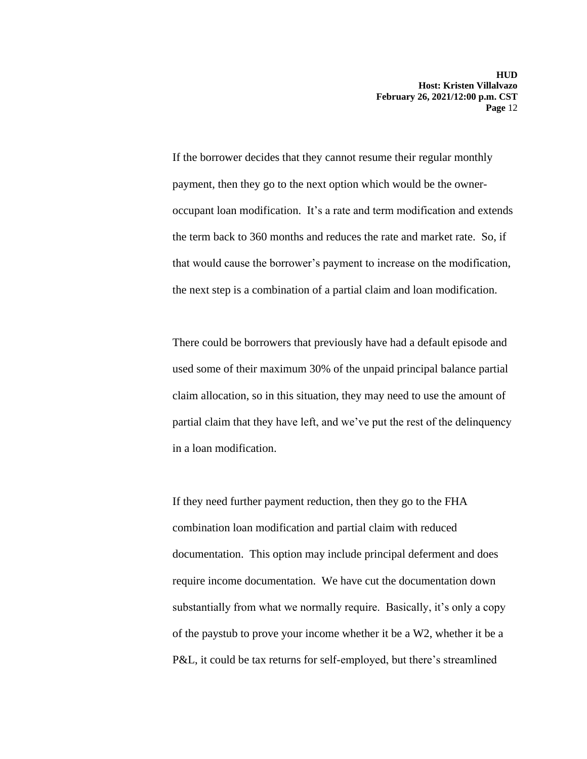If the borrower decides that they cannot resume their regular monthly payment, then they go to the next option which would be the owneroccupant loan modification. It's a rate and term modification and extends the term back to 360 months and reduces the rate and market rate. So, if that would cause the borrower's payment to increase on the modification, the next step is a combination of a partial claim and loan modification.

There could be borrowers that previously have had a default episode and used some of their maximum 30% of the unpaid principal balance partial claim allocation, so in this situation, they may need to use the amount of partial claim that they have left, and we've put the rest of the delinquency in a loan modification.

If they need further payment reduction, then they go to the FHA combination loan modification and partial claim with reduced documentation. This option may include principal deferment and does require income documentation. We have cut the documentation down substantially from what we normally require. Basically, it's only a copy of the paystub to prove your income whether it be a W2, whether it be a P&L, it could be tax returns for self-employed, but there's streamlined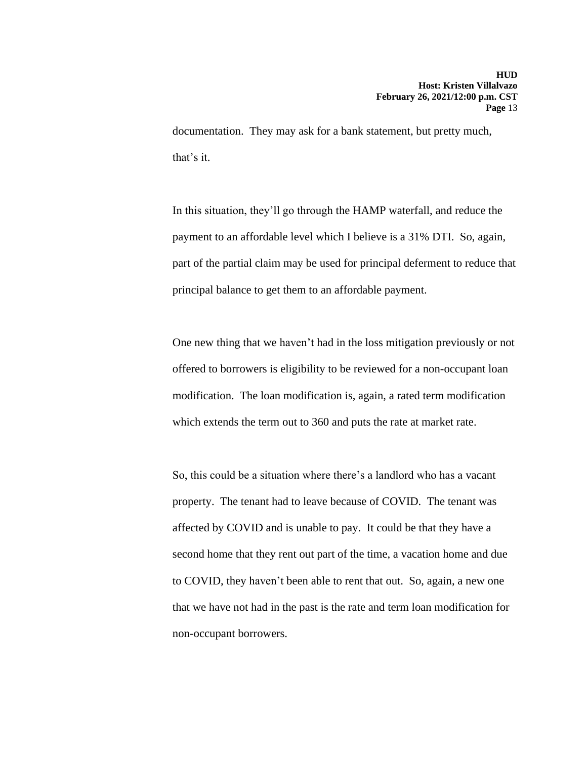documentation. They may ask for a bank statement, but pretty much, that's it.

In this situation, they'll go through the HAMP waterfall, and reduce the payment to an affordable level which I believe is a 31% DTI. So, again, part of the partial claim may be used for principal deferment to reduce that principal balance to get them to an affordable payment.

One new thing that we haven't had in the loss mitigation previously or not offered to borrowers is eligibility to be reviewed for a non-occupant loan modification. The loan modification is, again, a rated term modification which extends the term out to 360 and puts the rate at market rate.

So, this could be a situation where there's a landlord who has a vacant property. The tenant had to leave because of COVID. The tenant was affected by COVID and is unable to pay. It could be that they have a second home that they rent out part of the time, a vacation home and due to COVID, they haven't been able to rent that out. So, again, a new one that we have not had in the past is the rate and term loan modification for non-occupant borrowers.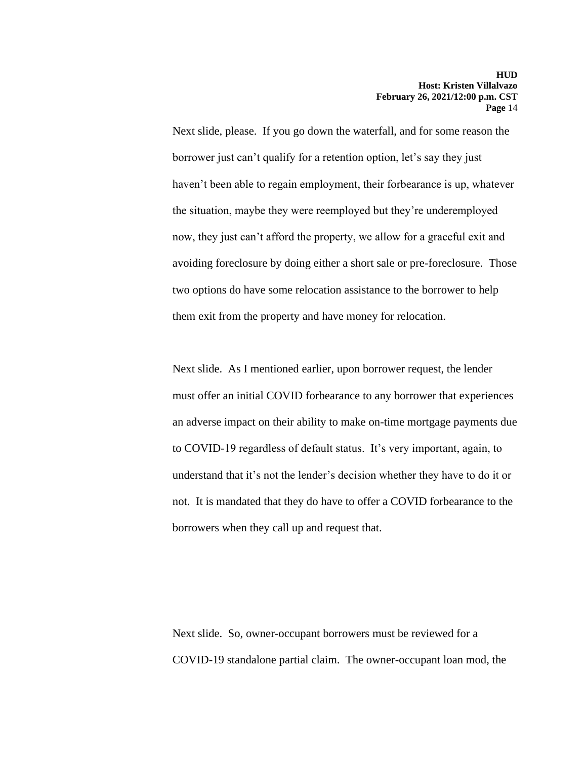Next slide, please. If you go down the waterfall, and for some reason the borrower just can't qualify for a retention option, let's say they just haven't been able to regain employment, their forbearance is up, whatever the situation, maybe they were reemployed but they're underemployed now, they just can't afford the property, we allow for a graceful exit and avoiding foreclosure by doing either a short sale or pre-foreclosure. Those two options do have some relocation assistance to the borrower to help them exit from the property and have money for relocation.

Next slide. As I mentioned earlier, upon borrower request, the lender must offer an initial COVID forbearance to any borrower that experiences an adverse impact on their ability to make on-time mortgage payments due to COVID-19 regardless of default status. It's very important, again, to understand that it's not the lender's decision whether they have to do it or not. It is mandated that they do have to offer a COVID forbearance to the borrowers when they call up and request that.

Next slide. So, owner-occupant borrowers must be reviewed for a COVID-19 standalone partial claim. The owner-occupant loan mod, the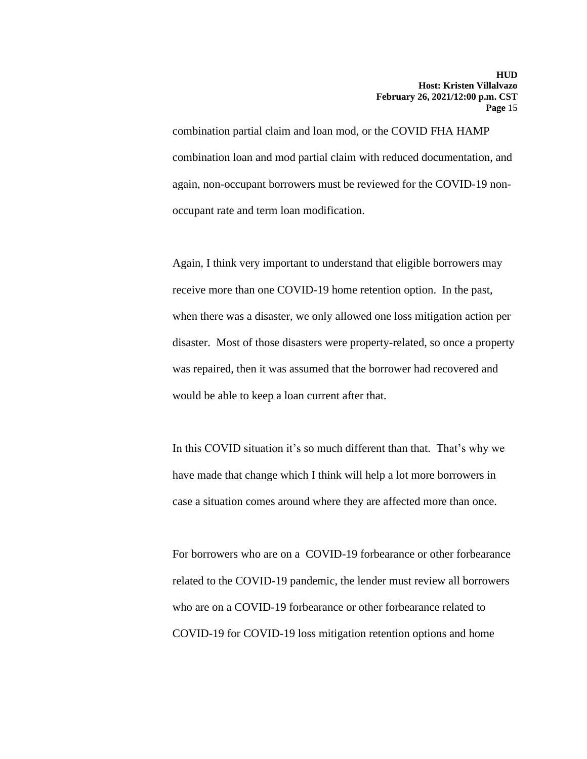combination partial claim and loan mod, or the COVID FHA HAMP combination loan and mod partial claim with reduced documentation, and again, non-occupant borrowers must be reviewed for the COVID-19 nonoccupant rate and term loan modification.

Again, I think very important to understand that eligible borrowers may receive more than one COVID-19 home retention option. In the past, when there was a disaster, we only allowed one loss mitigation action per disaster. Most of those disasters were property-related, so once a property was repaired, then it was assumed that the borrower had recovered and would be able to keep a loan current after that.

In this COVID situation it's so much different than that. That's why we have made that change which I think will help a lot more borrowers in case a situation comes around where they are affected more than once.

For borrowers who are on a COVID-19 forbearance or other forbearance related to the COVID-19 pandemic, the lender must review all borrowers who are on a COVID-19 forbearance or other forbearance related to COVID-19 for COVID-19 loss mitigation retention options and home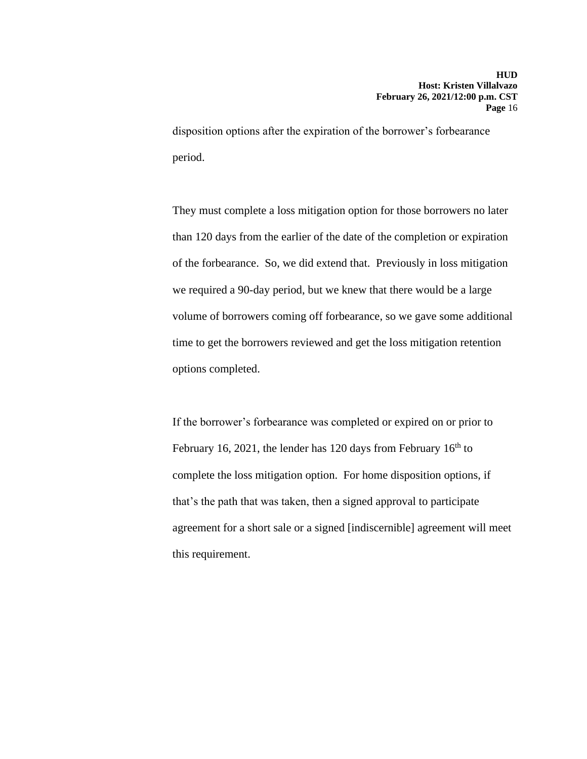disposition options after the expiration of the borrower's forbearance period.

They must complete a loss mitigation option for those borrowers no later than 120 days from the earlier of the date of the completion or expiration of the forbearance. So, we did extend that. Previously in loss mitigation we required a 90-day period, but we knew that there would be a large volume of borrowers coming off forbearance, so we gave some additional time to get the borrowers reviewed and get the loss mitigation retention options completed.

If the borrower's forbearance was completed or expired on or prior to February 16, 2021, the lender has 120 days from February  $16<sup>th</sup>$  to complete the loss mitigation option. For home disposition options, if that's the path that was taken, then a signed approval to participate agreement for a short sale or a signed [indiscernible] agreement will meet this requirement.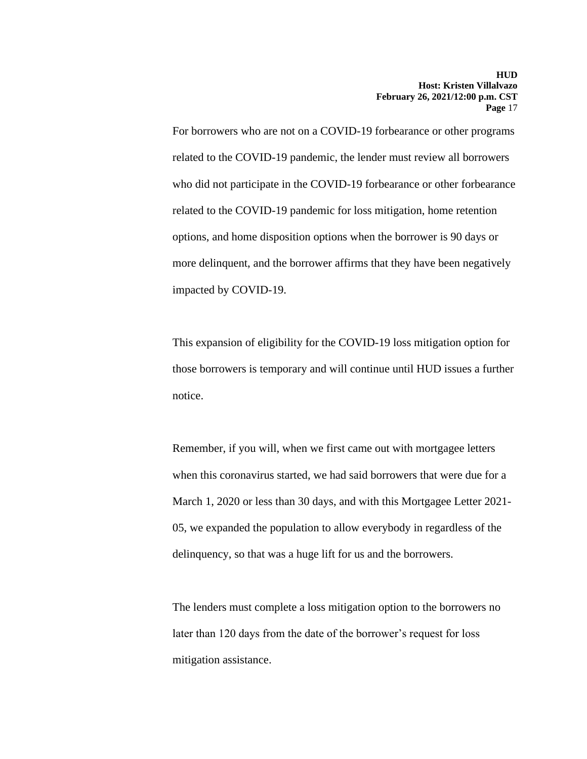For borrowers who are not on a COVID-19 forbearance or other programs related to the COVID-19 pandemic, the lender must review all borrowers who did not participate in the COVID-19 forbearance or other forbearance related to the COVID-19 pandemic for loss mitigation, home retention options, and home disposition options when the borrower is 90 days or more delinquent, and the borrower affirms that they have been negatively impacted by COVID-19.

This expansion of eligibility for the COVID-19 loss mitigation option for those borrowers is temporary and will continue until HUD issues a further notice.

Remember, if you will, when we first came out with mortgagee letters when this coronavirus started, we had said borrowers that were due for a March 1, 2020 or less than 30 days, and with this Mortgagee Letter 2021- 05, we expanded the population to allow everybody in regardless of the delinquency, so that was a huge lift for us and the borrowers.

The lenders must complete a loss mitigation option to the borrowers no later than 120 days from the date of the borrower's request for loss mitigation assistance.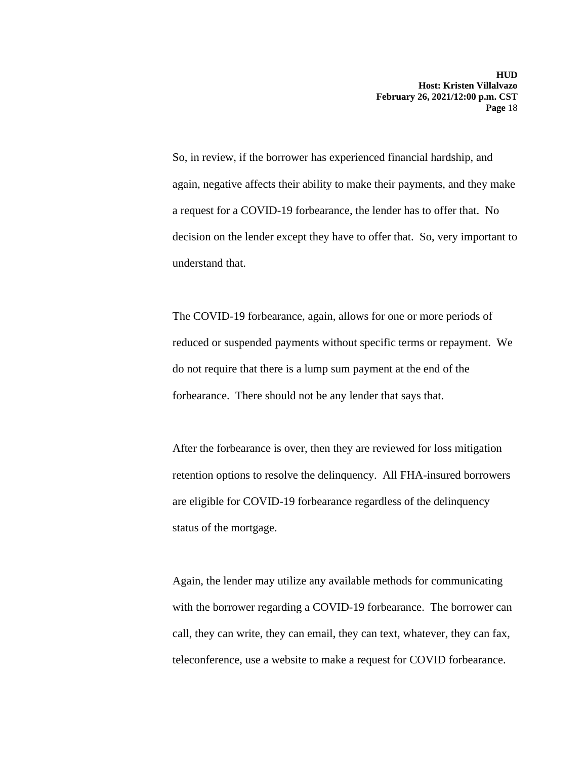again, negative affects their ability to make their payments, and they make So, in review, if the borrower has experienced financial hardship, and a request for a COVID-19 forbearance, the lender has to offer that. No decision on the lender except they have to offer that. So, very important to understand that.

The COVID-19 forbearance, again, allows for one or more periods of reduced or suspended payments without specific terms or repayment. We do not require that there is a lump sum payment at the end of the forbearance. There should not be any lender that says that.

After the forbearance is over, then they are reviewed for loss mitigation retention options to resolve the delinquency. All FHA-insured borrowers are eligible for COVID-19 forbearance regardless of the delinquency status of the mortgage.

 teleconference, use a website to make a request for COVID forbearance. Again, the lender may utilize any available methods for communicating with the borrower regarding a COVID-19 forbearance. The borrower can call, they can write, they can email, they can text, whatever, they can fax,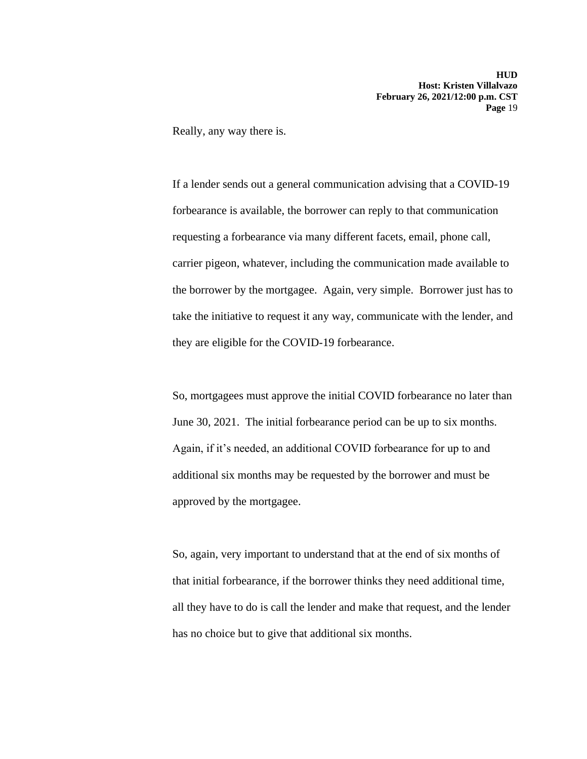Really, any way there is.

If a lender sends out a general communication advising that a COVID-19 forbearance is available, the borrower can reply to that communication requesting a forbearance via many different facets, email, phone call, carrier pigeon, whatever, including the communication made available to the borrower by the mortgagee. Again, very simple. Borrower just has to take the initiative to request it any way, communicate with the lender, and they are eligible for the COVID-19 forbearance.

So, mortgagees must approve the initial COVID forbearance no later than June 30, 2021. The initial forbearance period can be up to six months. Again, if it's needed, an additional COVID forbearance for up to and additional six months may be requested by the borrower and must be approved by the mortgagee.

So, again, very important to understand that at the end of six months of that initial forbearance, if the borrower thinks they need additional time, all they have to do is call the lender and make that request, and the lender has no choice but to give that additional six months.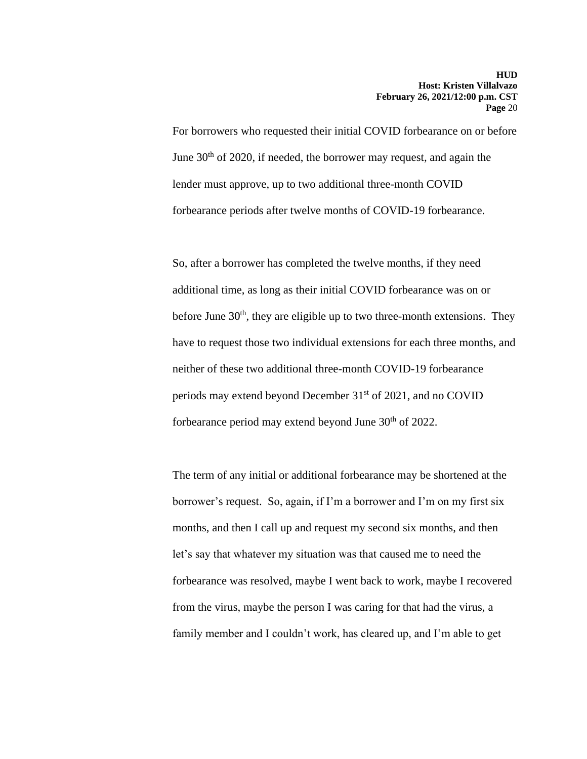For borrowers who requested their initial COVID forbearance on or before June  $30<sup>th</sup>$  of 2020, if needed, the borrower may request, and again the lender must approve, up to two additional three-month COVID forbearance periods after twelve months of COVID-19 forbearance.

So, after a borrower has completed the twelve months, if they need additional time, as long as their initial COVID forbearance was on or before June  $30<sup>th</sup>$ , they are eligible up to two three-month extensions. They have to request those two individual extensions for each three months, and neither of these two additional three-month COVID-19 forbearance periods may extend beyond December 31<sup>st</sup> of 2021, and no COVID forbearance period may extend beyond June 30<sup>th</sup> of 2022.

The term of any initial or additional forbearance may be shortened at the borrower's request. So, again, if I'm a borrower and I'm on my first six months, and then I call up and request my second six months, and then let's say that whatever my situation was that caused me to need the forbearance was resolved, maybe I went back to work, maybe I recovered from the virus, maybe the person I was caring for that had the virus, a family member and I couldn't work, has cleared up, and I'm able to get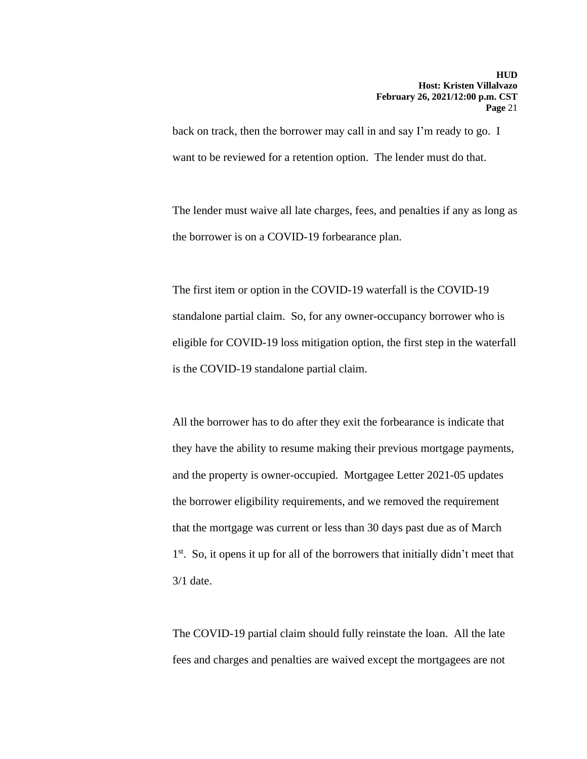back on track, then the borrower may call in and say I'm ready to go. I want to be reviewed for a retention option. The lender must do that.

The lender must waive all late charges, fees, and penalties if any as long as the borrower is on a COVID-19 forbearance plan.

The first item or option in the COVID-19 waterfall is the COVID-19 standalone partial claim. So, for any owner-occupancy borrower who is eligible for COVID-19 loss mitigation option, the first step in the waterfall is the COVID-19 standalone partial claim.

 and the property is owner-occupied. Mortgagee Letter 2021-05 updates All the borrower has to do after they exit the forbearance is indicate that they have the ability to resume making their previous mortgage payments, the borrower eligibility requirements, and we removed the requirement that the mortgage was current or less than 30 days past due as of March 1<sup>st</sup>. So, it opens it up for all of the borrowers that initially didn't meet that 3/1 date.

The COVID-19 partial claim should fully reinstate the loan. All the late fees and charges and penalties are waived except the mortgagees are not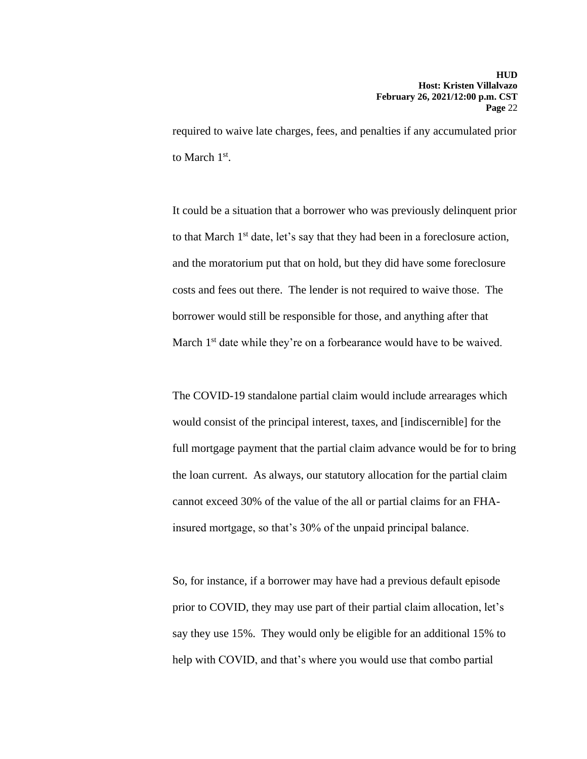required to waive late charges, fees, and penalties if any accumulated prior to March 1st.

It could be a situation that a borrower who was previously delinquent prior to that March 1<sup>st</sup> date, let's say that they had been in a foreclosure action, and the moratorium put that on hold, but they did have some foreclosure costs and fees out there. The lender is not required to waive those. The borrower would still be responsible for those, and anything after that March 1<sup>st</sup> date while they're on a forbearance would have to be waived.

The COVID-19 standalone partial claim would include arrearages which would consist of the principal interest, taxes, and [indiscernible] for the full mortgage payment that the partial claim advance would be for to bring the loan current. As always, our statutory allocation for the partial claim cannot exceed 30% of the value of the all or partial claims for an FHAinsured mortgage, so that's 30% of the unpaid principal balance.

So, for instance, if a borrower may have had a previous default episode prior to COVID, they may use part of their partial claim allocation, let's say they use 15%. They would only be eligible for an additional 15% to help with COVID, and that's where you would use that combo partial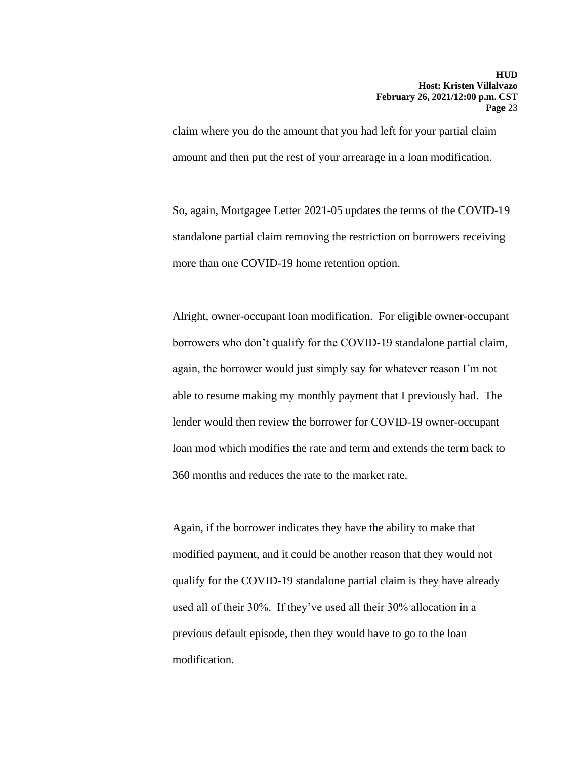claim where you do the amount that you had left for your partial claim amount and then put the rest of your arrearage in a loan modification.

So, again, Mortgagee Letter 2021-05 updates the terms of the COVID-19 standalone partial claim removing the restriction on borrowers receiving more than one COVID-19 home retention option.

Alright, owner-occupant loan modification. For eligible owner-occupant borrowers who don't qualify for the COVID-19 standalone partial claim, again, the borrower would just simply say for whatever reason I'm not able to resume making my monthly payment that I previously had. The lender would then review the borrower for COVID-19 owner-occupant loan mod which modifies the rate and term and extends the term back to 360 months and reduces the rate to the market rate.

Again, if the borrower indicates they have the ability to make that modified payment, and it could be another reason that they would not qualify for the COVID-19 standalone partial claim is they have already used all of their 30%. If they've used all their 30% allocation in a previous default episode, then they would have to go to the loan modification.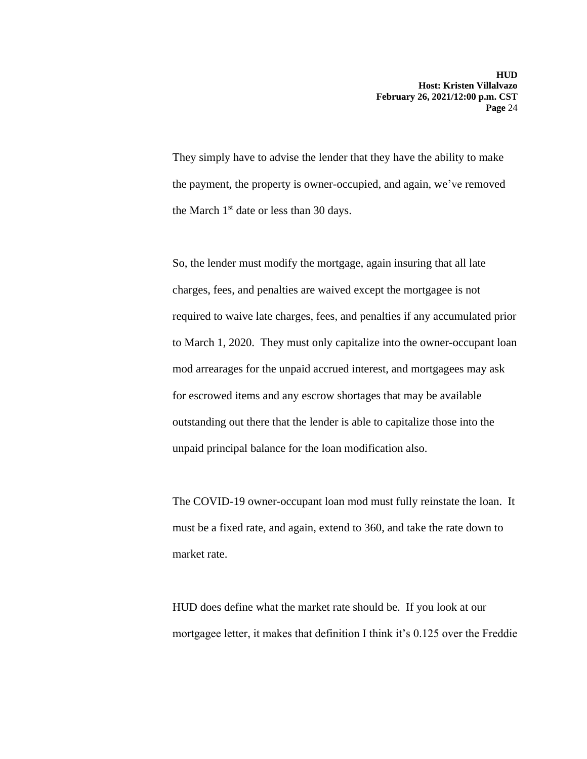They simply have to advise the lender that they have the ability to make the payment, the property is owner-occupied, and again, we've removed the March  $1<sup>st</sup>$  date or less than 30 days.

So, the lender must modify the mortgage, again insuring that all late charges, fees, and penalties are waived except the mortgagee is not required to waive late charges, fees, and penalties if any accumulated prior to March 1, 2020. They must only capitalize into the owner-occupant loan mod arrearages for the unpaid accrued interest, and mortgagees may ask for escrowed items and any escrow shortages that may be available outstanding out there that the lender is able to capitalize those into the unpaid principal balance for the loan modification also.

The COVID-19 owner-occupant loan mod must fully reinstate the loan. It must be a fixed rate, and again, extend to 360, and take the rate down to market rate.

HUD does define what the market rate should be. If you look at our mortgagee letter, it makes that definition I think it's 0.125 over the Freddie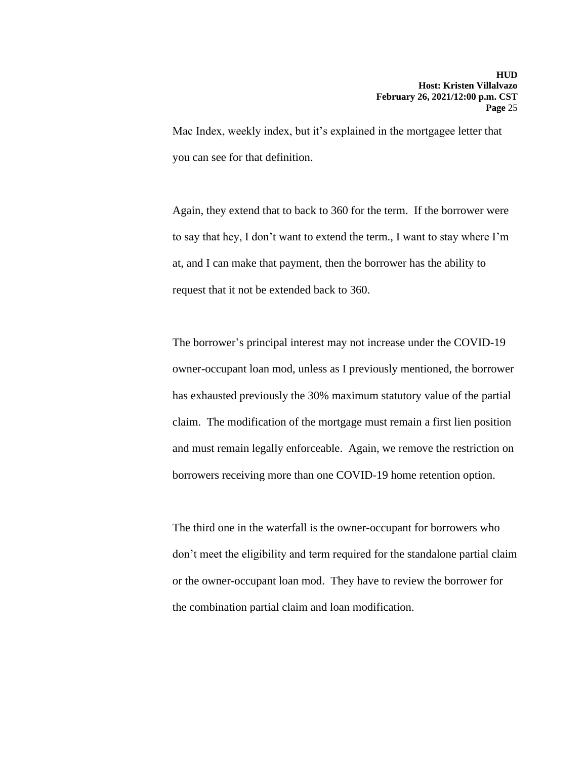Mac Index, weekly index, but it's explained in the mortgagee letter that you can see for that definition.

Again, they extend that to back to 360 for the term. If the borrower were to say that hey, I don't want to extend the term., I want to stay where I'm at, and I can make that payment, then the borrower has the ability to request that it not be extended back to 360.

The borrower's principal interest may not increase under the COVID-19 owner-occupant loan mod, unless as I previously mentioned, the borrower has exhausted previously the 30% maximum statutory value of the partial claim. The modification of the mortgage must remain a first lien position and must remain legally enforceable. Again, we remove the restriction on borrowers receiving more than one COVID-19 home retention option.

The third one in the waterfall is the owner-occupant for borrowers who don't meet the eligibility and term required for the standalone partial claim or the owner-occupant loan mod. They have to review the borrower for the combination partial claim and loan modification.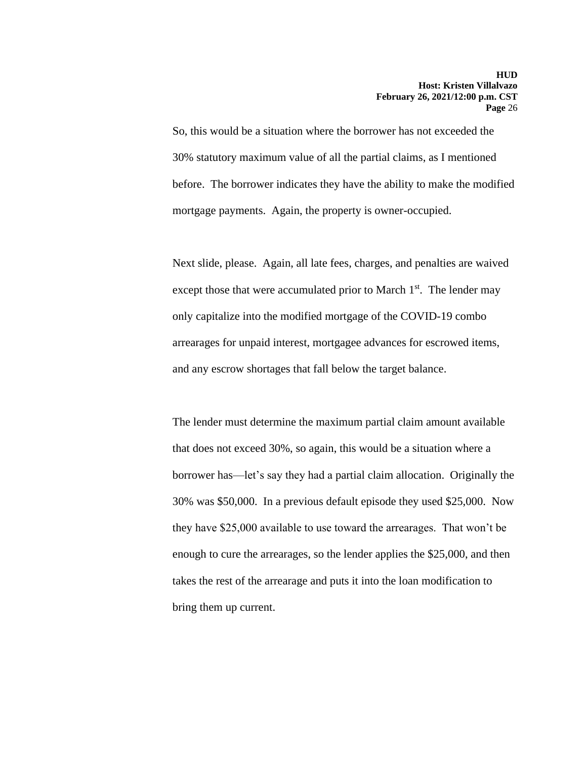So, this would be a situation where the borrower has not exceeded the 30% statutory maximum value of all the partial claims, as I mentioned before. The borrower indicates they have the ability to make the modified mortgage payments. Again, the property is owner-occupied.

Next slide, please. Again, all late fees, charges, and penalties are waived except those that were accumulated prior to March  $1<sup>st</sup>$ . The lender may only capitalize into the modified mortgage of the COVID-19 combo arrearages for unpaid interest, mortgagee advances for escrowed items, and any escrow shortages that fall below the target balance.

The lender must determine the maximum partial claim amount available that does not exceed 30%, so again, this would be a situation where a borrower has—let's say they had a partial claim allocation. Originally the 30% was \$50,000. In a previous default episode they used \$25,000. Now they have \$25,000 available to use toward the arrearages. That won't be enough to cure the arrearages, so the lender applies the \$25,000, and then takes the rest of the arrearage and puts it into the loan modification to bring them up current.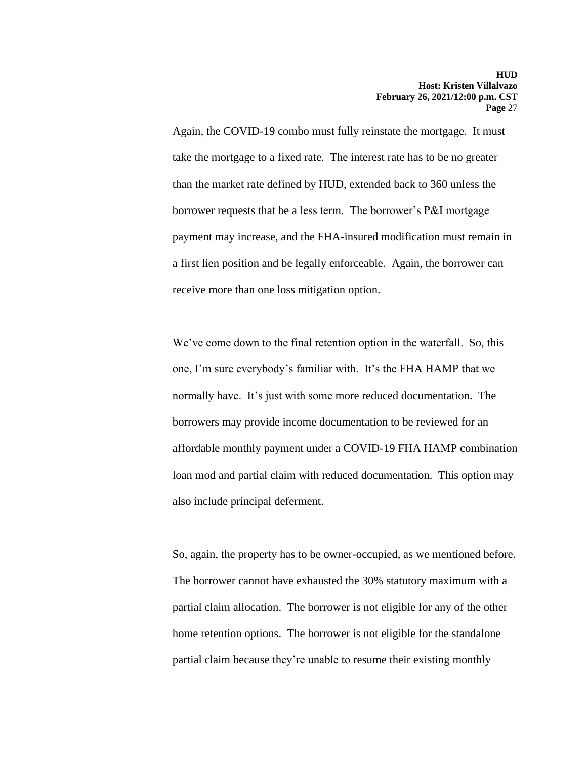Again, the COVID-19 combo must fully reinstate the mortgage. It must take the mortgage to a fixed rate. The interest rate has to be no greater than the market rate defined by HUD, extended back to 360 unless the borrower requests that be a less term. The borrower's P&I mortgage payment may increase, and the FHA-insured modification must remain in a first lien position and be legally enforceable. Again, the borrower can receive more than one loss mitigation option.

 one, I'm sure everybody's familiar with. It's the FHA HAMP that we We've come down to the final retention option in the waterfall. So, this normally have. It's just with some more reduced documentation. The borrowers may provide income documentation to be reviewed for an affordable monthly payment under a COVID-19 FHA HAMP combination loan mod and partial claim with reduced documentation. This option may also include principal deferment.

 So, again, the property has to be owner-occupied, as we mentioned before. The borrower cannot have exhausted the 30% statutory maximum with a partial claim allocation. The borrower is not eligible for any of the other home retention options. The borrower is not eligible for the standalone partial claim because they're unable to resume their existing monthly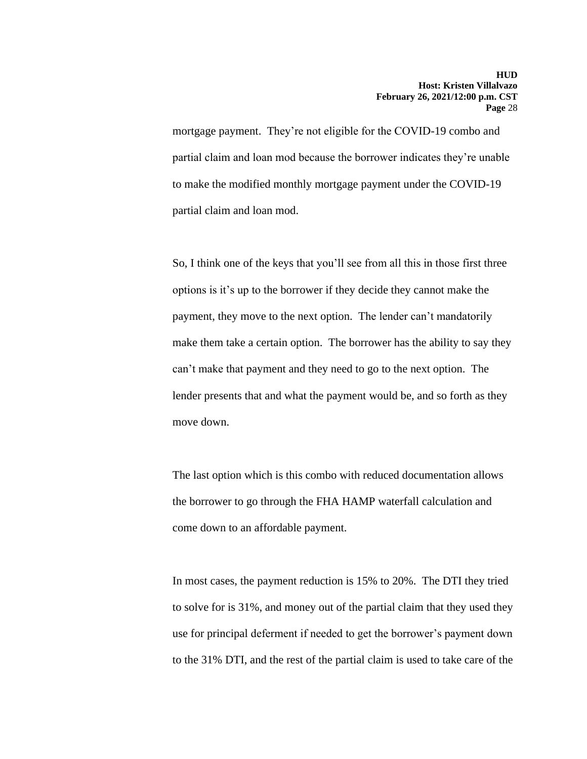mortgage payment. They're not eligible for the COVID-19 combo and partial claim and loan mod because the borrower indicates they're unable to make the modified monthly mortgage payment under the COVID-19 partial claim and loan mod.

 options is it's up to the borrower if they decide they cannot make the So, I think one of the keys that you'll see from all this in those first three payment, they move to the next option. The lender can't mandatorily make them take a certain option. The borrower has the ability to say they can't make that payment and they need to go to the next option. The lender presents that and what the payment would be, and so forth as they move down.

The last option which is this combo with reduced documentation allows the borrower to go through the FHA HAMP waterfall calculation and come down to an affordable payment.

In most cases, the payment reduction is 15% to 20%. The DTI they tried to solve for is 31%, and money out of the partial claim that they used they use for principal deferment if needed to get the borrower's payment down to the 31% DTI, and the rest of the partial claim is used to take care of the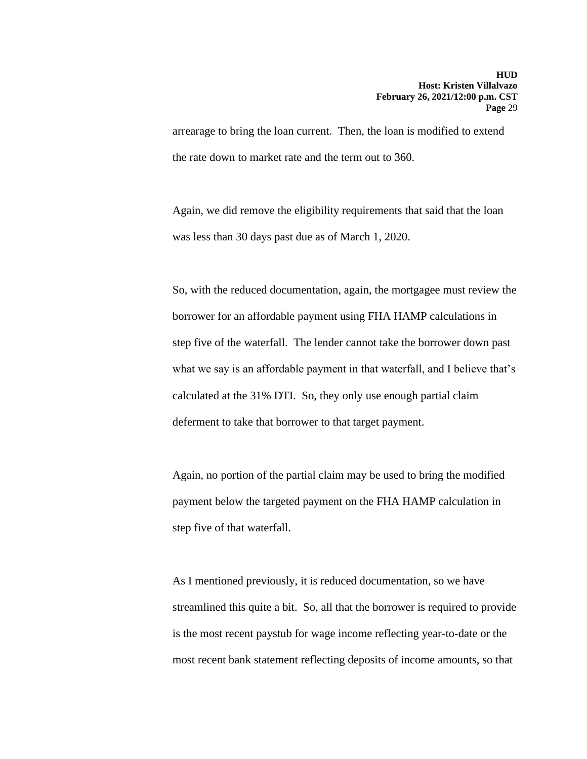arrearage to bring the loan current. Then, the loan is modified to extend the rate down to market rate and the term out to 360.

Again, we did remove the eligibility requirements that said that the loan was less than 30 days past due as of March 1, 2020.

So, with the reduced documentation, again, the mortgagee must review the borrower for an affordable payment using FHA HAMP calculations in step five of the waterfall. The lender cannot take the borrower down past what we say is an affordable payment in that waterfall, and I believe that's calculated at the 31% DTI. So, they only use enough partial claim deferment to take that borrower to that target payment.

Again, no portion of the partial claim may be used to bring the modified payment below the targeted payment on the FHA HAMP calculation in step five of that waterfall.

As I mentioned previously, it is reduced documentation, so we have streamlined this quite a bit. So, all that the borrower is required to provide is the most recent paystub for wage income reflecting year-to-date or the most recent bank statement reflecting deposits of income amounts, so that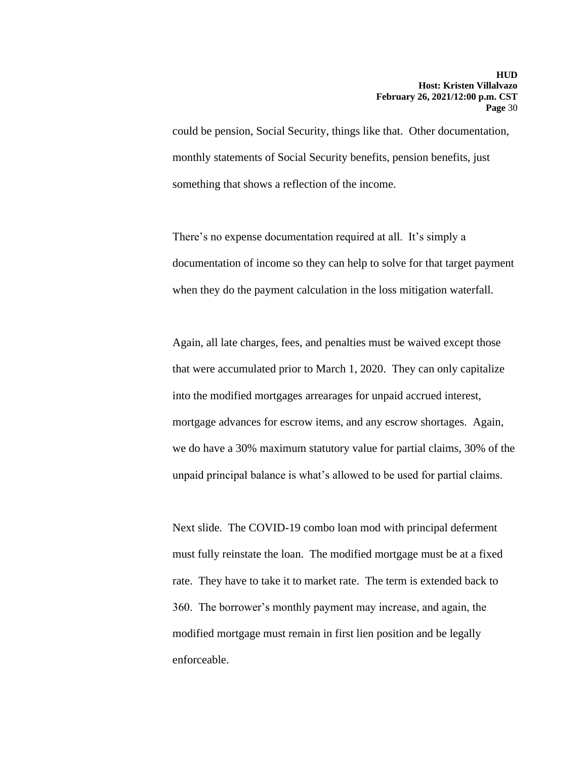could be pension, Social Security, things like that. Other documentation, monthly statements of Social Security benefits, pension benefits, just something that shows a reflection of the income.

There's no expense documentation required at all. It's simply a documentation of income so they can help to solve for that target payment when they do the payment calculation in the loss mitigation waterfall.

Again, all late charges, fees, and penalties must be waived except those that were accumulated prior to March 1, 2020. They can only capitalize into the modified mortgages arrearages for unpaid accrued interest, mortgage advances for escrow items, and any escrow shortages. Again, we do have a 30% maximum statutory value for partial claims, 30% of the unpaid principal balance is what's allowed to be used for partial claims.

Next slide. The COVID-19 combo loan mod with principal deferment must fully reinstate the loan. The modified mortgage must be at a fixed rate. They have to take it to market rate. The term is extended back to 360. The borrower's monthly payment may increase, and again, the modified mortgage must remain in first lien position and be legally enforceable.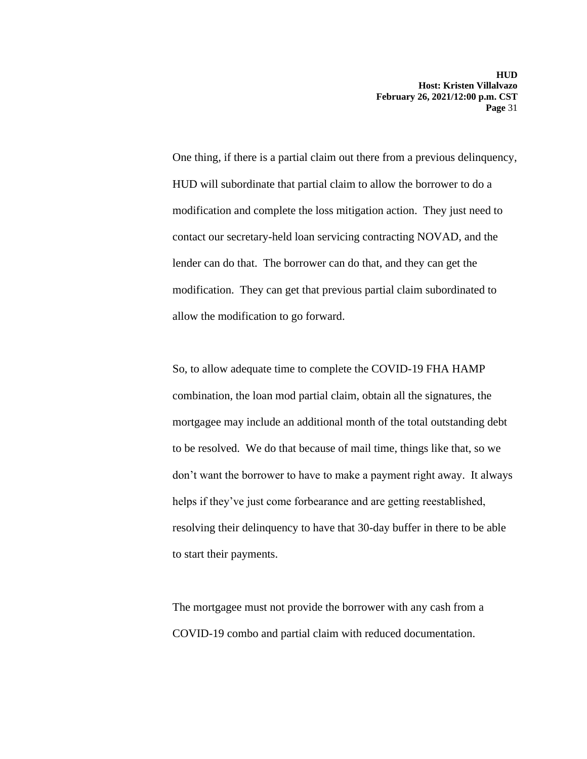One thing, if there is a partial claim out there from a previous delinquency, HUD will subordinate that partial claim to allow the borrower to do a modification and complete the loss mitigation action. They just need to contact our secretary-held loan servicing contracting NOVAD, and the lender can do that. The borrower can do that, and they can get the modification. They can get that previous partial claim subordinated to allow the modification to go forward.

So, to allow adequate time to complete the COVID-19 FHA HAMP combination, the loan mod partial claim, obtain all the signatures, the mortgagee may include an additional month of the total outstanding debt to be resolved. We do that because of mail time, things like that, so we don't want the borrower to have to make a payment right away. It always helps if they've just come forbearance and are getting reestablished, resolving their delinquency to have that 30-day buffer in there to be able to start their payments.

The mortgagee must not provide the borrower with any cash from a COVID-19 combo and partial claim with reduced documentation.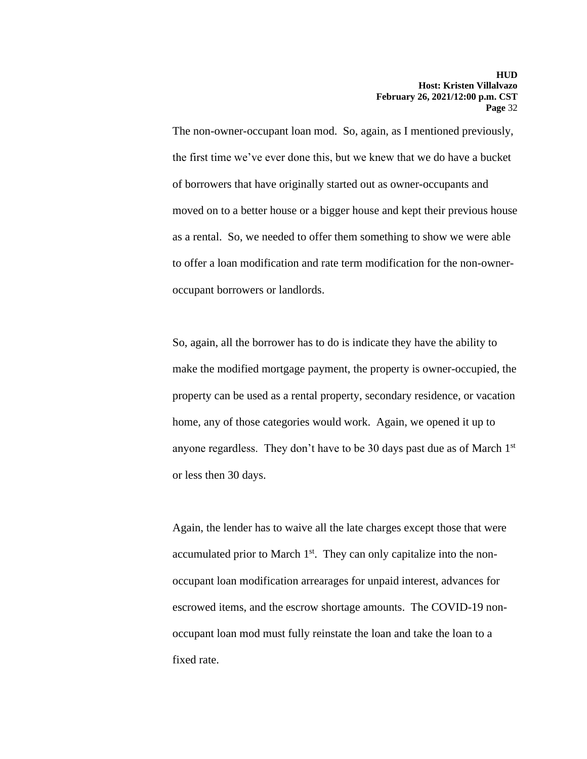The non-owner-occupant loan mod. So, again, as I mentioned previously, the first time we've ever done this, but we knew that we do have a bucket of borrowers that have originally started out as owner-occupants and moved on to a better house or a bigger house and kept their previous house as a rental. So, we needed to offer them something to show we were able to offer a loan modification and rate term modification for the non-owneroccupant borrowers or landlords.

So, again, all the borrower has to do is indicate they have the ability to make the modified mortgage payment, the property is owner-occupied, the property can be used as a rental property, secondary residence, or vacation home, any of those categories would work. Again, we opened it up to anyone regardless. They don't have to be 30 days past due as of March 1<sup>st</sup> or less then 30 days.

Again, the lender has to waive all the late charges except those that were accumulated prior to March  $1<sup>st</sup>$ . They can only capitalize into the nonoccupant loan modification arrearages for unpaid interest, advances for escrowed items, and the escrow shortage amounts. The COVID-19 nonoccupant loan mod must fully reinstate the loan and take the loan to a fixed rate.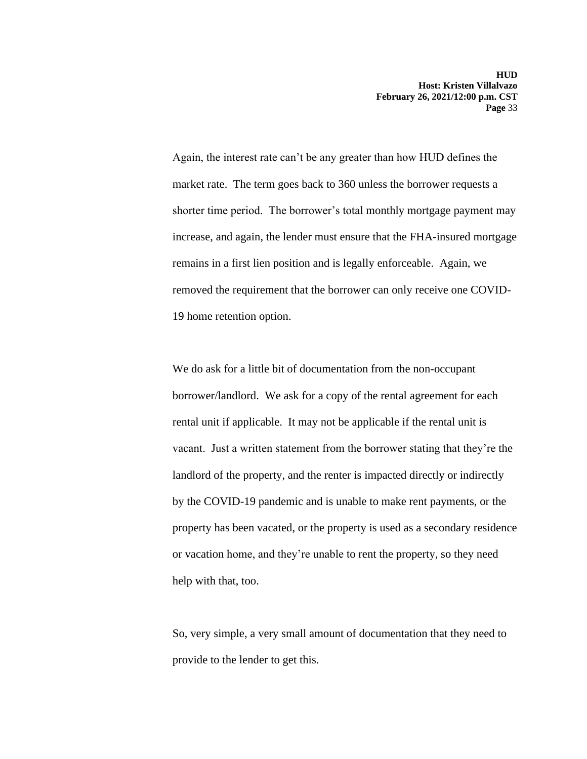Again, the interest rate can't be any greater than how HUD defines the market rate. The term goes back to 360 unless the borrower requests a shorter time period. The borrower's total monthly mortgage payment may increase, and again, the lender must ensure that the FHA-insured mortgage remains in a first lien position and is legally enforceable. Again, we removed the requirement that the borrower can only receive one COVID-19 home retention option.

We do ask for a little bit of documentation from the non-occupant borrower/landlord. We ask for a copy of the rental agreement for each rental unit if applicable. It may not be applicable if the rental unit is vacant. Just a written statement from the borrower stating that they're the landlord of the property, and the renter is impacted directly or indirectly by the COVID-19 pandemic and is unable to make rent payments, or the property has been vacated, or the property is used as a secondary residence or vacation home, and they're unable to rent the property, so they need help with that, too.

So, very simple, a very small amount of documentation that they need to provide to the lender to get this.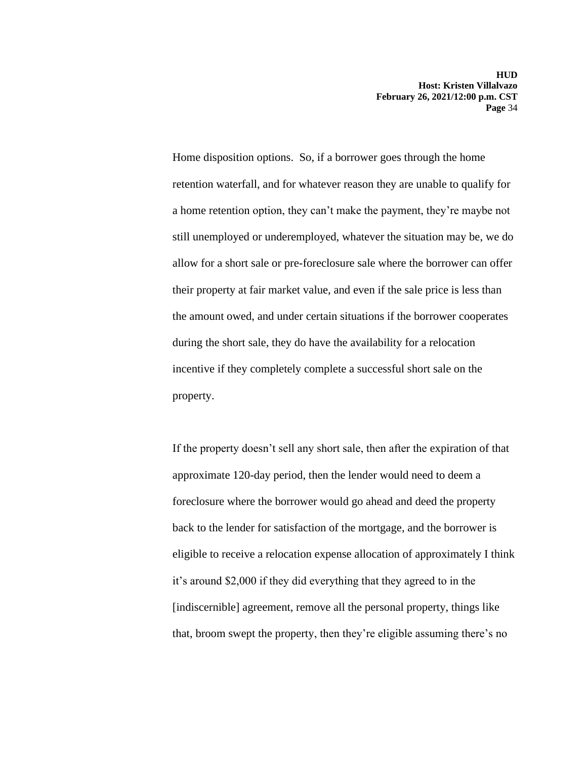Home disposition options. So, if a borrower goes through the home retention waterfall, and for whatever reason they are unable to qualify for a home retention option, they can't make the payment, they're maybe not still unemployed or underemployed, whatever the situation may be, we do allow for a short sale or pre-foreclosure sale where the borrower can offer their property at fair market value, and even if the sale price is less than the amount owed, and under certain situations if the borrower cooperates during the short sale, they do have the availability for a relocation incentive if they completely complete a successful short sale on the property.

If the property doesn't sell any short sale, then after the expiration of that approximate 120-day period, then the lender would need to deem a foreclosure where the borrower would go ahead and deed the property back to the lender for satisfaction of the mortgage, and the borrower is eligible to receive a relocation expense allocation of approximately I think it's around \$2,000 if they did everything that they agreed to in the [indiscernible] agreement, remove all the personal property, things like that, broom swept the property, then they're eligible assuming there's no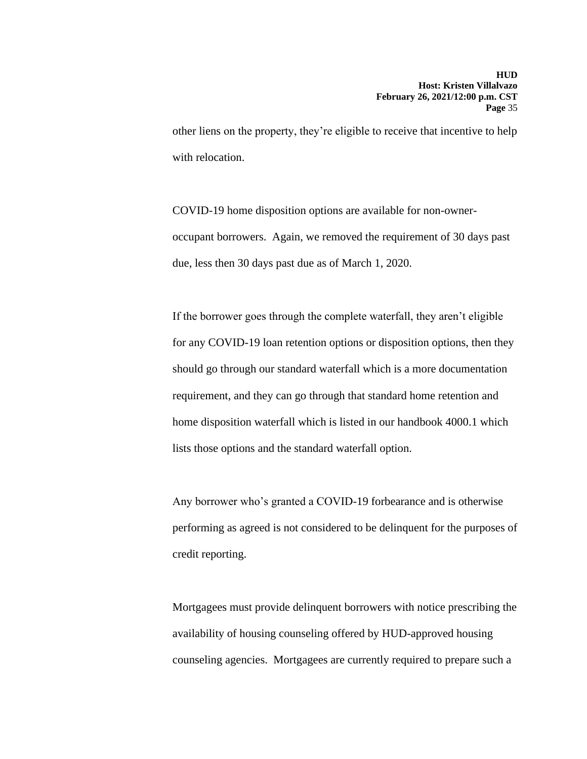other liens on the property, they're eligible to receive that incentive to help with relocation.

COVID-19 home disposition options are available for non-owneroccupant borrowers. Again, we removed the requirement of 30 days past due, less then 30 days past due as of March 1, 2020.

If the borrower goes through the complete waterfall, they aren't eligible for any COVID-19 loan retention options or disposition options, then they should go through our standard waterfall which is a more documentation requirement, and they can go through that standard home retention and home disposition waterfall which is listed in our handbook 4000.1 which lists those options and the standard waterfall option.

Any borrower who's granted a COVID-19 forbearance and is otherwise performing as agreed is not considered to be delinquent for the purposes of credit reporting.

Mortgagees must provide delinquent borrowers with notice prescribing the availability of housing counseling offered by HUD-approved housing counseling agencies. Mortgagees are currently required to prepare such a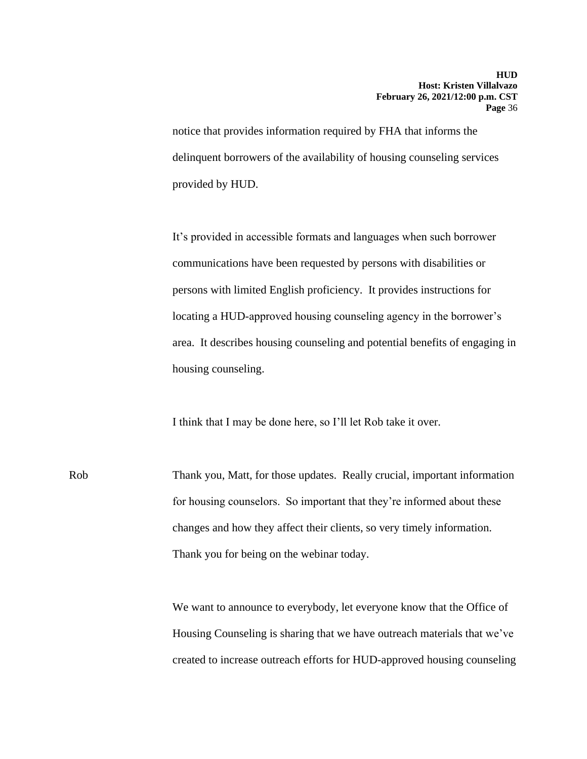notice that provides information required by FHA that informs the delinquent borrowers of the availability of housing counseling services provided by HUD.

It's provided in accessible formats and languages when such borrower communications have been requested by persons with disabilities or persons with limited English proficiency. It provides instructions for locating a HUD-approved housing counseling agency in the borrower's area. It describes housing counseling and potential benefits of engaging in housing counseling.

I think that I may be done here, so I'll let Rob take it over.

Rob Thank you, Matt, for those updates. Really crucial, important information for housing counselors. So important that they're informed about these changes and how they affect their clients, so very timely information. Thank you for being on the webinar today.

> We want to announce to everybody, let everyone know that the Office of Housing Counseling is sharing that we have outreach materials that we've created to increase outreach efforts for HUD-approved housing counseling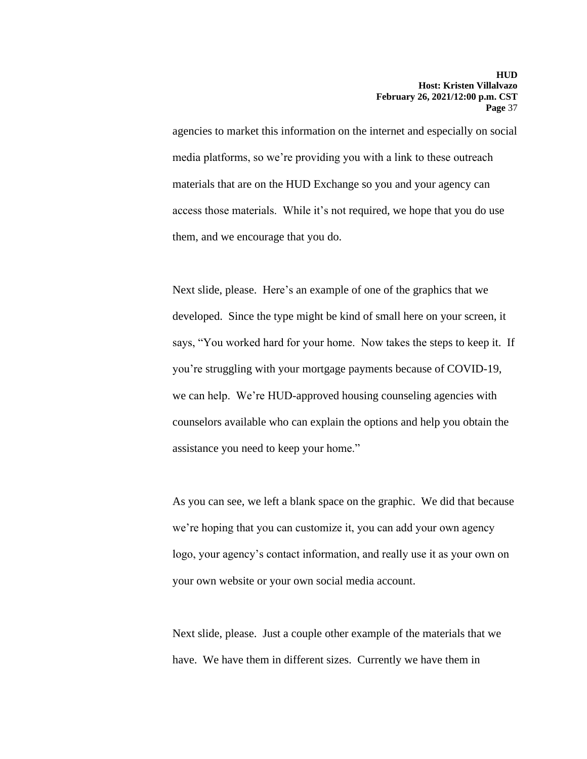agencies to market this information on the internet and especially on social media platforms, so we're providing you with a link to these outreach materials that are on the HUD Exchange so you and your agency can access those materials. While it's not required, we hope that you do use them, and we encourage that you do.

Next slide, please. Here's an example of one of the graphics that we developed. Since the type might be kind of small here on your screen, it says, "You worked hard for your home. Now takes the steps to keep it. If you're struggling with your mortgage payments because of COVID-19, we can help. We're HUD-approved housing counseling agencies with counselors available who can explain the options and help you obtain the assistance you need to keep your home."

As you can see, we left a blank space on the graphic. We did that because we're hoping that you can customize it, you can add your own agency logo, your agency's contact information, and really use it as your own on your own website or your own social media account.

Next slide, please. Just a couple other example of the materials that we have. We have them in different sizes. Currently we have them in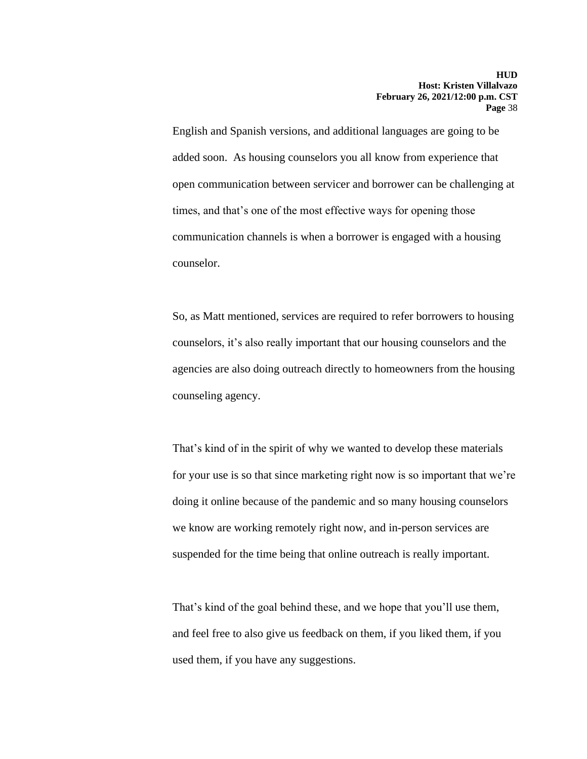English and Spanish versions, and additional languages are going to be added soon. As housing counselors you all know from experience that open communication between servicer and borrower can be challenging at times, and that's one of the most effective ways for opening those communication channels is when a borrower is engaged with a housing counselor.

counseling agency. So, as Matt mentioned, services are required to refer borrowers to housing counselors, it's also really important that our housing counselors and the agencies are also doing outreach directly to homeowners from the housing

That's kind of in the spirit of why we wanted to develop these materials for your use is so that since marketing right now is so important that we're doing it online because of the pandemic and so many housing counselors we know are working remotely right now, and in-person services are suspended for the time being that online outreach is really important.

That's kind of the goal behind these, and we hope that you'll use them, and feel free to also give us feedback on them, if you liked them, if you used them, if you have any suggestions.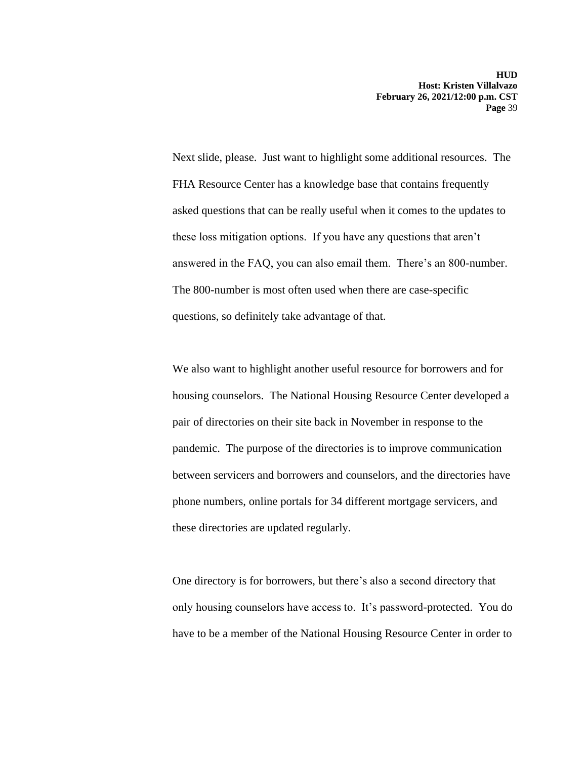Next slide, please. Just want to highlight some additional resources. The FHA Resource Center has a knowledge base that contains frequently asked questions that can be really useful when it comes to the updates to these loss mitigation options. If you have any questions that aren't answered in the FAQ, you can also email them. There's an 800-number. The 800-number is most often used when there are case-specific questions, so definitely take advantage of that.

We also want to highlight another useful resource for borrowers and for housing counselors. The National Housing Resource Center developed a pair of directories on their site back in November in response to the pandemic. The purpose of the directories is to improve communication between servicers and borrowers and counselors, and the directories have phone numbers, online portals for 34 different mortgage servicers, and these directories are updated regularly.

One directory is for borrowers, but there's also a second directory that only housing counselors have access to. It's password-protected. You do have to be a member of the National Housing Resource Center in order to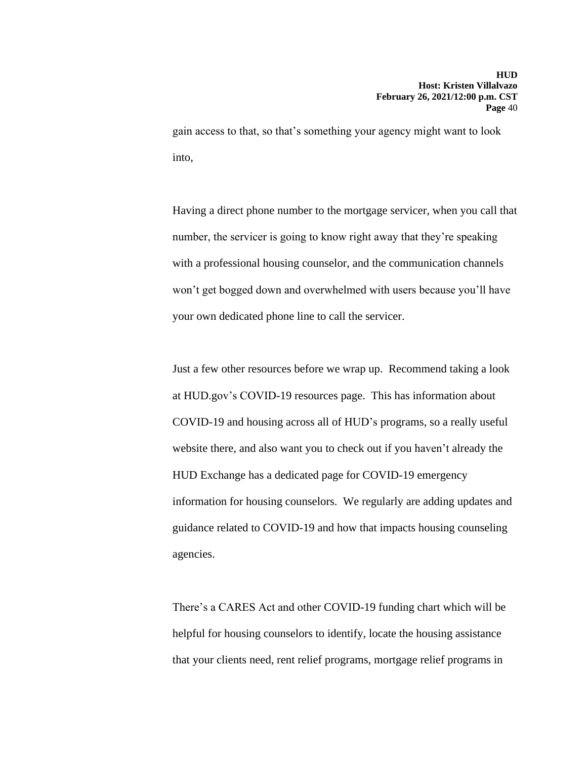gain access to that, so that's something your agency might want to look into,

Having a direct phone number to the mortgage servicer, when you call that number, the servicer is going to know right away that they're speaking with a professional housing counselor, and the communication channels won't get bogged down and overwhelmed with users because you'll have your own dedicated phone line to call the servicer.

Just a few other resources before we wrap up. Recommend taking a look at HUD.gov's COVID-19 resources page. This has information about COVID-19 and housing across all of HUD's programs, so a really useful website there, and also want you to check out if you haven't already the HUD Exchange has a dedicated page for COVID-19 emergency information for housing counselors. We regularly are adding updates and guidance related to COVID-19 and how that impacts housing counseling agencies.

 There's a CARES Act and other COVID-19 funding chart which will be helpful for housing counselors to identify, locate the housing assistance that your clients need, rent relief programs, mortgage relief programs in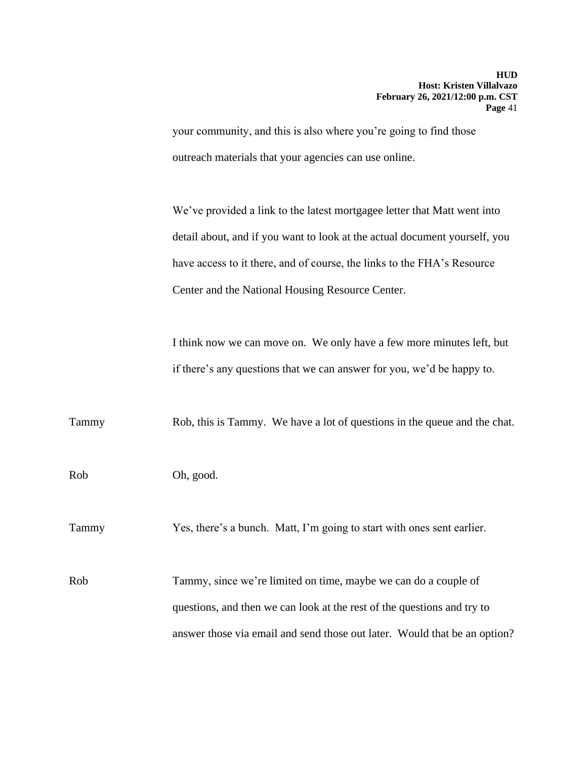your community, and this is also where you're going to find those outreach materials that your agencies can use online.

We've provided a link to the latest mortgagee letter that Matt went into detail about, and if you want to look at the actual document yourself, you have access to it there, and of course, the links to the FHA's Resource Center and the National Housing Resource Center.

I think now we can move on. We only have a few more minutes left, but if there's any questions that we can answer for you, we'd be happy to.

Tammy Rob, this is Tammy. We have a lot of questions in the queue and the chat.

Rob Oh, good.

Tammy Yes, there's a bunch. Matt, I'm going to start with ones sent earlier.

Rob Tammy, since we're limited on time, maybe we can do a couple of questions, and then we can look at the rest of the questions and try to answer those via email and send those out later. Would that be an option?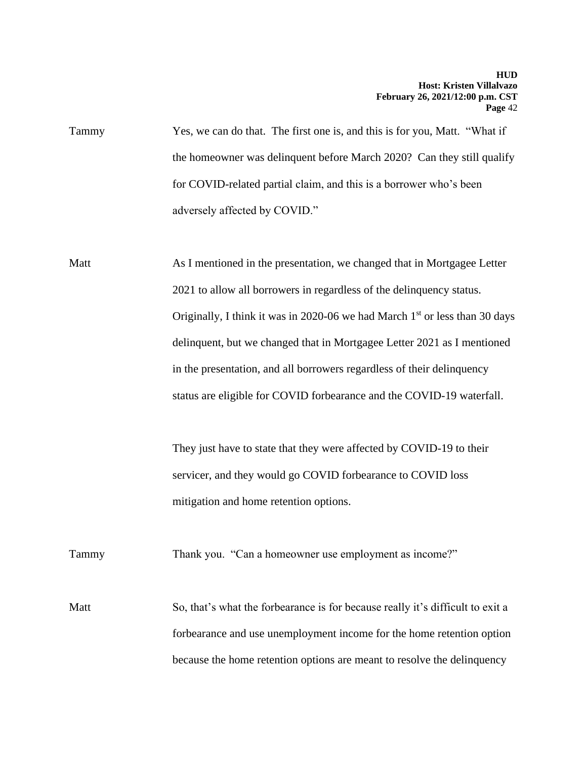Yes, we can do that. The first one is, and this is for you, Matt. "What if the homeowner was delinquent before March 2020? Can they still qualify Tammy for COVID-related partial claim, and this is a borrower who's been adversely affected by COVID."

Matt Mortgagee Letter As I mentioned in the presentation, we changed that in Mortgagee Letter 2021 to allow all borrowers in regardless of the delinquency status. Originally, I think it was in 2020-06 we had March  $1<sup>st</sup>$  or less than 30 days delinquent, but we changed that in Mortgagee Letter 2021 as I mentioned in the presentation, and all borrowers regardless of their delinquency status are eligible for COVID forbearance and the COVID-19 waterfall.

> They just have to state that they were affected by COVID-19 to their servicer, and they would go COVID forbearance to COVID loss mitigation and home retention options.

Tammy Thank you. "Can a homeowner use employment as income?"

Matt So, that's what the forbearance is for because really it's difficult to exit a forbearance and use unemployment income for the home retention option because the home retention options are meant to resolve the delinquency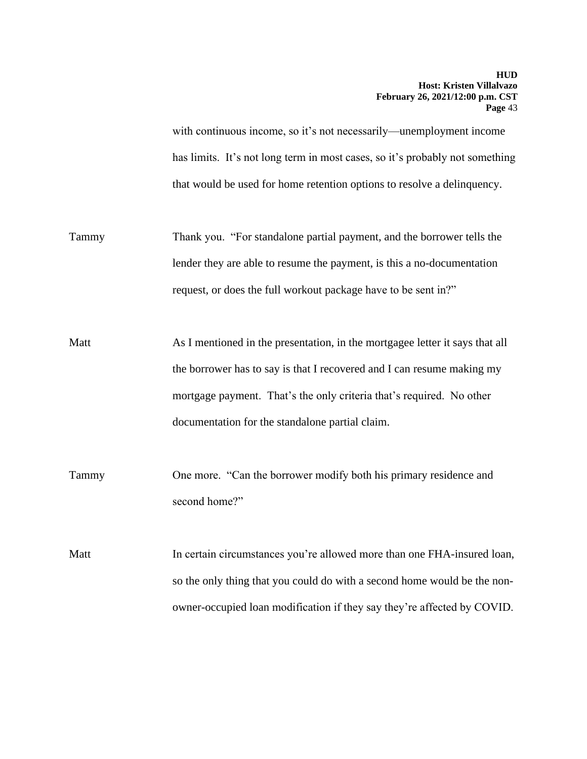has limits. It's not long term in most cases, so it's probably not something with continuous income, so it's not necessarily—unemployment income that would be used for home retention options to resolve a delinquency.

- Tammy Thank you. "For standalone partial payment, and the borrower tells the lender they are able to resume the payment, is this a no-documentation request, or does the full workout package have to be sent in?"
- Matt As I mentioned in the presentation, in the mortgagee letter it says that all the borrower has to say is that I recovered and I can resume making my mortgage payment. That's the only criteria that's required. No other documentation for the standalone partial claim.
- Tammy One more. "Can the borrower modify both his primary residence and second home?"

Matt In certain circumstances you're allowed more than one FHA-insured loan, so the only thing that you could do with a second home would be the nonowner-occupied loan modification if they say they're affected by COVID.